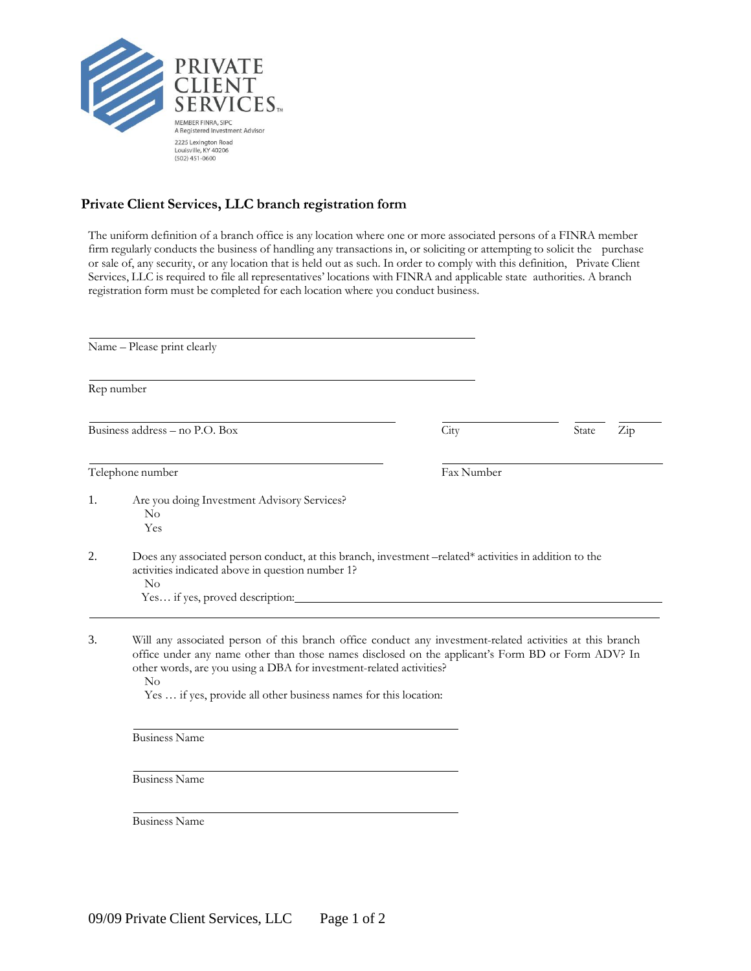

## **Private Client Services, LLC branch registration form**

The uniform definition of a branch office is any location where one or more associated persons of a FINRA member firm regularly conducts the business of handling any transactions in, or soliciting or attempting to solicit the purchase or sale of, any security, or any location that is held out as such. In order to comply with this definition, Private Client Services, LLC is required to file all representatives' locations with FINRA and applicable state authorities. A branch registration form must be completed for each location where you conduct business.

| Name - Please print clearly                                                                                                                                                                                                                                                                                                                                     |            |                           |  |  |
|-----------------------------------------------------------------------------------------------------------------------------------------------------------------------------------------------------------------------------------------------------------------------------------------------------------------------------------------------------------------|------------|---------------------------|--|--|
| Rep number                                                                                                                                                                                                                                                                                                                                                      |            |                           |  |  |
| Business address - no P.O. Box                                                                                                                                                                                                                                                                                                                                  | City       | State<br>$\overline{Zip}$ |  |  |
| Telephone number                                                                                                                                                                                                                                                                                                                                                | Fax Number |                           |  |  |
| Are you doing Investment Advisory Services?<br>No<br>Yes                                                                                                                                                                                                                                                                                                        |            |                           |  |  |
| Does any associated person conduct, at this branch, investment -related* activities in addition to the<br>activities indicated above in question number 1?<br>No                                                                                                                                                                                                |            |                           |  |  |
| Will any associated person of this branch office conduct any investment-related activities at this branch<br>office under any name other than those names disclosed on the applicant's Form BD or Form ADV? In<br>other words, are you using a DBA for investment-related activities?<br>No<br>Yes  if yes, provide all other business names for this location: |            |                           |  |  |
| <b>Business Name</b>                                                                                                                                                                                                                                                                                                                                            |            |                           |  |  |
| <b>Business Name</b>                                                                                                                                                                                                                                                                                                                                            |            |                           |  |  |
| <b>Business Name</b>                                                                                                                                                                                                                                                                                                                                            |            |                           |  |  |